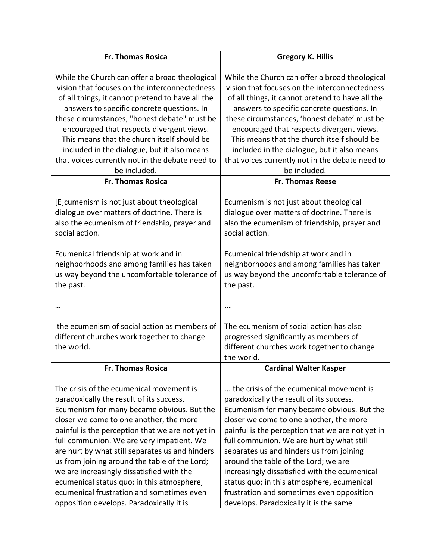| <b>Fr. Thomas Rosica</b>                                                                                                                 | <b>Gregory K. Hillis</b>                                                                                                                 |
|------------------------------------------------------------------------------------------------------------------------------------------|------------------------------------------------------------------------------------------------------------------------------------------|
| While the Church can offer a broad theological<br>vision that focuses on the interconnectedness                                          | While the Church can offer a broad theological<br>vision that focuses on the interconnectedness                                          |
| of all things, it cannot pretend to have all the<br>answers to specific concrete questions. In                                           | of all things, it cannot pretend to have all the<br>answers to specific concrete questions. In                                           |
| these circumstances, "honest debate" must be<br>encouraged that respects divergent views.<br>This means that the church itself should be | these circumstances, 'honest debate' must be<br>encouraged that respects divergent views.<br>This means that the church itself should be |
| included in the dialogue, but it also means                                                                                              | included in the dialogue, but it also means                                                                                              |
| that voices currently not in the debate need to<br>be included.                                                                          | that voices currently not in the debate need to<br>be included.                                                                          |
| <b>Fr. Thomas Rosica</b>                                                                                                                 | <b>Fr. Thomas Reese</b>                                                                                                                  |
| [E] cumenism is not just about theological                                                                                               | Ecumenism is not just about theological                                                                                                  |
| dialogue over matters of doctrine. There is                                                                                              | dialogue over matters of doctrine. There is                                                                                              |
| also the ecumenism of friendship, prayer and                                                                                             | also the ecumenism of friendship, prayer and                                                                                             |
| social action.                                                                                                                           | social action.                                                                                                                           |
| Ecumenical friendship at work and in                                                                                                     | Ecumenical friendship at work and in                                                                                                     |
| neighborhoods and among families has taken                                                                                               | neighborhoods and among families has taken                                                                                               |
| us way beyond the uncomfortable tolerance of                                                                                             | us way beyond the uncomfortable tolerance of                                                                                             |
| the past.                                                                                                                                | the past.                                                                                                                                |
|                                                                                                                                          |                                                                                                                                          |
|                                                                                                                                          |                                                                                                                                          |
| the ecumenism of social action as members of                                                                                             | The ecumenism of social action has also                                                                                                  |
| different churches work together to change                                                                                               | progressed significantly as members of                                                                                                   |
| the world.                                                                                                                               | different churches work together to change                                                                                               |
| <b>Fr. Thomas Rosica</b>                                                                                                                 | the world.<br><b>Cardinal Walter Kasper</b>                                                                                              |
|                                                                                                                                          |                                                                                                                                          |
| The crisis of the ecumenical movement is                                                                                                 | the crisis of the ecumenical movement is                                                                                                 |
| paradoxically the result of its success.                                                                                                 | paradoxically the result of its success.                                                                                                 |
| Ecumenism for many became obvious. But the                                                                                               | Ecumenism for many became obvious. But the                                                                                               |
| closer we come to one another, the more                                                                                                  | closer we come to one another, the more                                                                                                  |
| painful is the perception that we are not yet in                                                                                         | painful is the perception that we are not yet in                                                                                         |
| full communion. We are very impatient. We                                                                                                | full communion. We are hurt by what still                                                                                                |
| are hurt by what still separates us and hinders                                                                                          | separates us and hinders us from joining                                                                                                 |
| us from joining around the table of the Lord;                                                                                            | around the table of the Lord; we are                                                                                                     |
| we are increasingly dissatisfied with the                                                                                                | increasingly dissatisfied with the ecumenical                                                                                            |
| ecumenical status quo; in this atmosphere,<br>ecumenical frustration and sometimes even                                                  | status quo; in this atmosphere, ecumenical<br>frustration and sometimes even opposition                                                  |
| opposition develops. Paradoxically it is                                                                                                 | develops. Paradoxically it is the same                                                                                                   |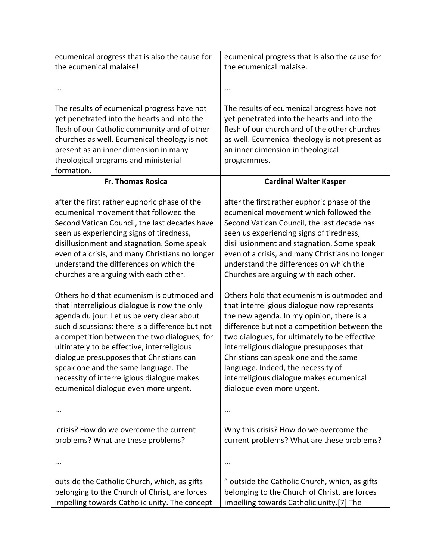| ecumenical progress that is also the cause for                                                                                                                                                                                                                                                                                                                                                                                                                       | ecumenical progress that is also the cause for                                                                                                                                                                                                                                                                                                                                                                                               |
|----------------------------------------------------------------------------------------------------------------------------------------------------------------------------------------------------------------------------------------------------------------------------------------------------------------------------------------------------------------------------------------------------------------------------------------------------------------------|----------------------------------------------------------------------------------------------------------------------------------------------------------------------------------------------------------------------------------------------------------------------------------------------------------------------------------------------------------------------------------------------------------------------------------------------|
| the ecumenical malaise!                                                                                                                                                                                                                                                                                                                                                                                                                                              | the ecumenical malaise.                                                                                                                                                                                                                                                                                                                                                                                                                      |
| $\cdots$                                                                                                                                                                                                                                                                                                                                                                                                                                                             | $\cdots$                                                                                                                                                                                                                                                                                                                                                                                                                                     |
| The results of ecumenical progress have not<br>yet penetrated into the hearts and into the<br>flesh of our Catholic community and of other<br>churches as well. Ecumenical theology is not<br>present as an inner dimension in many<br>theological programs and ministerial<br>formation.                                                                                                                                                                            | The results of ecumenical progress have not<br>yet penetrated into the hearts and into the<br>flesh of our church and of the other churches<br>as well. Ecumenical theology is not present as<br>an inner dimension in theological<br>programmes.                                                                                                                                                                                            |
| <b>Fr. Thomas Rosica</b>                                                                                                                                                                                                                                                                                                                                                                                                                                             | <b>Cardinal Walter Kasper</b>                                                                                                                                                                                                                                                                                                                                                                                                                |
| after the first rather euphoric phase of the<br>ecumenical movement that followed the<br>Second Vatican Council, the last decades have<br>seen us experiencing signs of tiredness,<br>disillusionment and stagnation. Some speak<br>even of a crisis, and many Christians no longer<br>understand the differences on which the<br>churches are arguing with each other.                                                                                              | after the first rather euphoric phase of the<br>ecumenical movement which followed the<br>Second Vatican Council, the last decade has<br>seen us experiencing signs of tiredness,<br>disillusionment and stagnation. Some speak<br>even of a crisis, and many Christians no longer<br>understand the differences on which the<br>Churches are arguing with each other.                                                                       |
| Others hold that ecumenism is outmoded and<br>that interreligious dialogue is now the only<br>agenda du jour. Let us be very clear about<br>such discussions: there is a difference but not<br>a competition between the two dialogues, for<br>ultimately to be effective, interreligious<br>dialogue presupposes that Christians can<br>speak one and the same language. The<br>necessity of interreligious dialogue makes<br>ecumenical dialogue even more urgent. | Others hold that ecumenism is outmoded and<br>that interreligious dialogue now represents<br>the new agenda. In my opinion, there is a<br>difference but not a competition between the<br>two dialogues, for ultimately to be effective<br>interreligious dialogue presupposes that<br>Christians can speak one and the same<br>language. Indeed, the necessity of<br>interreligious dialogue makes ecumenical<br>dialogue even more urgent. |
|                                                                                                                                                                                                                                                                                                                                                                                                                                                                      |                                                                                                                                                                                                                                                                                                                                                                                                                                              |
| crisis? How do we overcome the current<br>problems? What are these problems?                                                                                                                                                                                                                                                                                                                                                                                         | Why this crisis? How do we overcome the<br>current problems? What are these problems?                                                                                                                                                                                                                                                                                                                                                        |
|                                                                                                                                                                                                                                                                                                                                                                                                                                                                      |                                                                                                                                                                                                                                                                                                                                                                                                                                              |
| outside the Catholic Church, which, as gifts<br>belonging to the Church of Christ, are forces<br>impelling towards Catholic unity. The concept                                                                                                                                                                                                                                                                                                                       | " outside the Catholic Church, which, as gifts<br>belonging to the Church of Christ, are forces<br>impelling towards Catholic unity.[7] The                                                                                                                                                                                                                                                                                                  |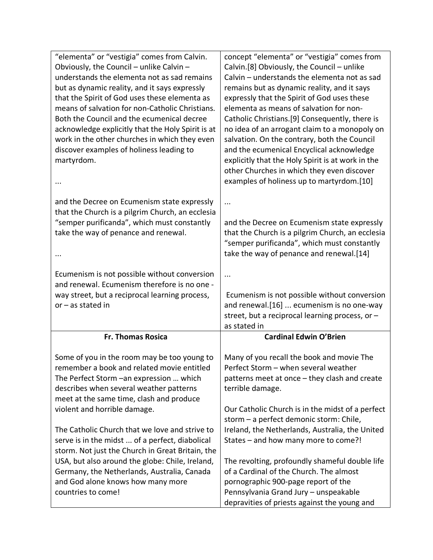| "elementa" or "vestigia" comes from Calvin.       | concept "elementa" or "vestigia" comes from       |
|---------------------------------------------------|---------------------------------------------------|
| Obviously, the Council - unlike Calvin -          | Calvin.[8] Obviously, the Council - unlike        |
| understands the elementa not as sad remains       | Calvin - understands the elementa not as sad      |
| but as dynamic reality, and it says expressly     | remains but as dynamic reality, and it says       |
| that the Spirit of God uses these elementa as     | expressly that the Spirit of God uses these       |
| means of salvation for non-Catholic Christians.   | elementa as means of salvation for non-           |
| Both the Council and the ecumenical decree        | Catholic Christians.[9] Consequently, there is    |
| acknowledge explicitly that the Holy Spirit is at | no idea of an arrogant claim to a monopoly on     |
| work in the other churches in which they even     | salvation. On the contrary, both the Council      |
| discover examples of holiness leading to          | and the ecumenical Encyclical acknowledge         |
| martyrdom.                                        | explicitly that the Holy Spirit is at work in the |
|                                                   | other Churches in which they even discover        |
| $\cdots$                                          | examples of holiness up to martyrdom.[10]         |
| and the Decree on Ecumenism state expressly       |                                                   |
| that the Church is a pilgrim Church, an ecclesia  |                                                   |
| "semper purificanda", which must constantly       | and the Decree on Ecumenism state expressly       |
| take the way of penance and renewal.              | that the Church is a pilgrim Church, an ecclesia  |
|                                                   | "semper purificanda", which must constantly       |
|                                                   | take the way of penance and renewal.[14]          |
|                                                   |                                                   |
| Ecumenism is not possible without conversion      |                                                   |
| and renewal. Ecumenism therefore is no one -      |                                                   |
| way street, but a reciprocal learning process,    | Ecumenism is not possible without conversion      |
| $or - as stated in$                               | and renewal.[16]  ecumenism is no one-way         |
|                                                   | street, but a reciprocal learning process, or -   |
|                                                   | as stated in                                      |
| <b>Fr. Thomas Rosica</b>                          | <b>Cardinal Edwin O'Brien</b>                     |
| Some of you in the room may be too young to       | Many of you recall the book and movie The         |
| remember a book and related movie entitled        | Perfect Storm - when several weather              |
| The Perfect Storm - an expression  which          | patterns meet at once - they clash and create     |
| describes when several weather patterns           | terrible damage.                                  |
| meet at the same time, clash and produce          |                                                   |
| violent and horrible damage.                      | Our Catholic Church is in the midst of a perfect  |
|                                                   | storm - a perfect demonic storm: Chile,           |
| The Catholic Church that we love and strive to    | Ireland, the Netherlands, Australia, the United   |
| serve is in the midst  of a perfect, diabolical   |                                                   |
|                                                   | States - and how many more to come?!              |
| storm. Not just the Church in Great Britain, the  |                                                   |
| USA, but also around the globe: Chile, Ireland,   | The revolting, profoundly shameful double life    |
| Germany, the Netherlands, Australia, Canada       | of a Cardinal of the Church. The almost           |
| and God alone knows how many more                 | pornographic 900-page report of the               |
| countries to come!                                | Pennsylvania Grand Jury - unspeakable             |